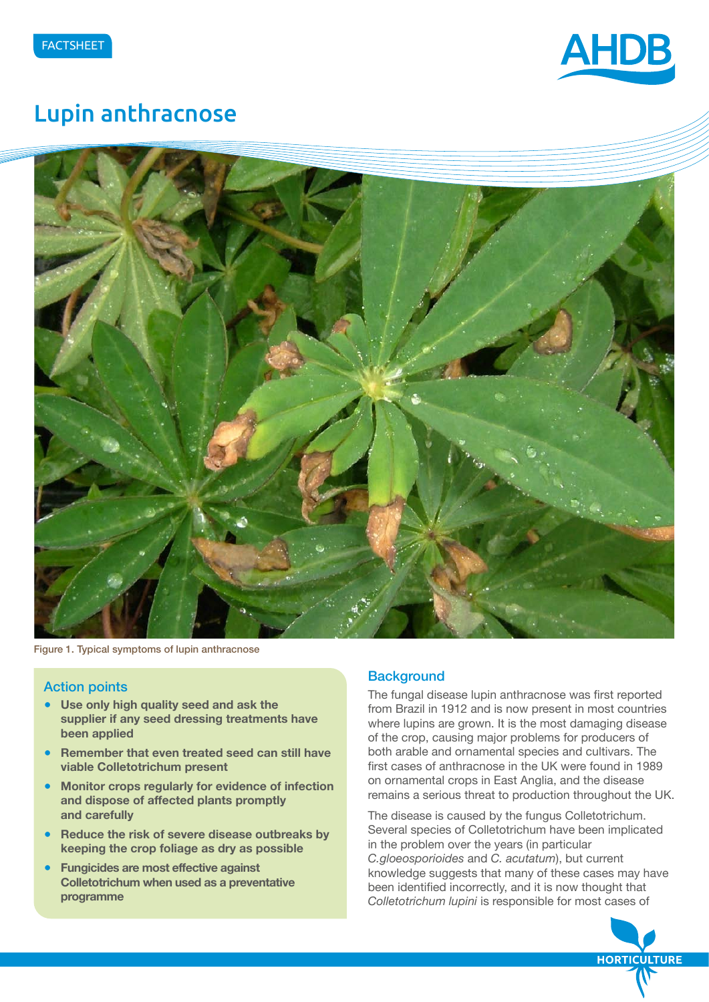

# Lupin anthracnose



Figure 1. Typical symptoms of lupin anthracnose

# Action points

- **Use only high quality seed and ask the supplier if any seed dressing treatments have been applied**
- **Remember that even treated seed can still have viable Colletotrichum present**
- **Monitor crops regularly for evidence of infection and dispose of affected plants promptly and carefully**
- **Reduce the risk of severe disease outbreaks by keeping the crop foliage as dry as possible**
- **Fungicides are most effective against Colletotrichum when used as a preventative programme**

## **Background**

The fungal disease lupin anthracnose was first reported from Brazil in 1912 and is now present in most countries where lupins are grown. It is the most damaging disease of the crop, causing major problems for producers of both arable and ornamental species and cultivars. The first cases of anthracnose in the UK were found in 1989 on ornamental crops in East Anglia, and the disease remains a serious threat to production throughout the UK.

The disease is caused by the fungus Colletotrichum. Several species of Colletotrichum have been implicated in the problem over the years (in particular *C.gloeosporioides* and *C. acutatum*), but current knowledge suggests that many of these cases may have been identified incorrectly, and it is now thought that *Colletotrichum lupini* is responsible for most cases of

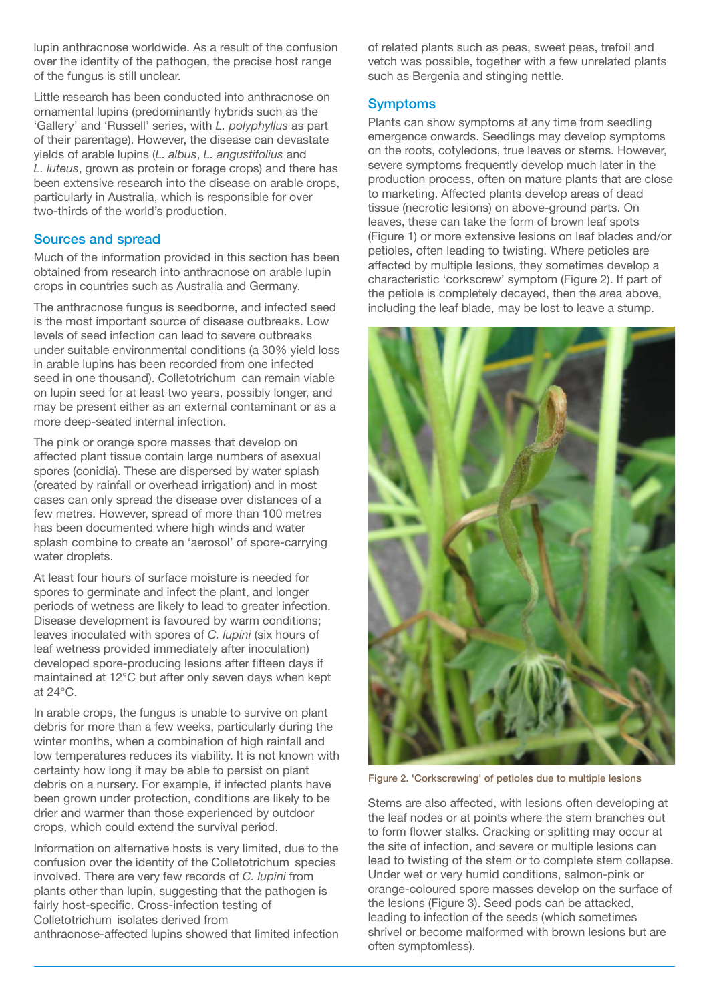lupin anthracnose worldwide. As a result of the confusion over the identity of the pathogen, the precise host range of the fungus is still unclear.

Little research has been conducted into anthracnose on ornamental lupins (predominantly hybrids such as the 'Gallery' and 'Russell' series, with *L. polyphyllus* as part of their parentage). However, the disease can devastate yields of arable lupins (*L. albus*, *L. angustifolius* and *L. luteus*, grown as protein or forage crops) and there has been extensive research into the disease on arable crops, particularly in Australia, which is responsible for over two-thirds of the world's production.

## Sources and spread

Much of the information provided in this section has been obtained from research into anthracnose on arable lupin crops in countries such as Australia and Germany.

The anthracnose fungus is seedborne, and infected seed is the most important source of disease outbreaks. Low levels of seed infection can lead to severe outbreaks under suitable environmental conditions (a 30% yield loss in arable lupins has been recorded from one infected seed in one thousand). Colletotrichum can remain viable on lupin seed for at least two years, possibly longer, and may be present either as an external contaminant or as a more deep-seated internal infection.

The pink or orange spore masses that develop on affected plant tissue contain large numbers of asexual spores (conidia). These are dispersed by water splash (created by rainfall or overhead irrigation) and in most cases can only spread the disease over distances of a few metres. However, spread of more than 100 metres has been documented where high winds and water splash combine to create an 'aerosol' of spore-carrying water droplets.

At least four hours of surface moisture is needed for spores to germinate and infect the plant, and longer periods of wetness are likely to lead to greater infection. Disease development is favoured by warm conditions; leaves inoculated with spores of *C. lupini* (six hours of leaf wetness provided immediately after inoculation) developed spore-producing lesions after fifteen days if maintained at 12°C but after only seven days when kept at 24°C.

In arable crops, the fungus is unable to survive on plant debris for more than a few weeks, particularly during the winter months, when a combination of high rainfall and low temperatures reduces its viability. It is not known with certainty how long it may be able to persist on plant debris on a nursery. For example, if infected plants have been grown under protection, conditions are likely to be drier and warmer than those experienced by outdoor crops, which could extend the survival period.

Information on alternative hosts is very limited, due to the confusion over the identity of the Colletotrichum species involved. There are very few records of *C. lupini* from plants other than lupin, suggesting that the pathogen is fairly host-specific. Cross-infection testing of Colletotrichum isolates derived from anthracnose-affected lupins showed that limited infection of related plants such as peas, sweet peas, trefoil and vetch was possible, together with a few unrelated plants such as Bergenia and stinging nettle.

## **Symptoms**

Plants can show symptoms at any time from seedling emergence onwards. Seedlings may develop symptoms on the roots, cotyledons, true leaves or stems. However, severe symptoms frequently develop much later in the production process, often on mature plants that are close to marketing. Affected plants develop areas of dead tissue (necrotic lesions) on above-ground parts. On leaves, these can take the form of brown leaf spots (Figure 1) or more extensive lesions on leaf blades and/or petioles, often leading to twisting. Where petioles are affected by multiple lesions, they sometimes develop a characteristic 'corkscrew' symptom (Figure 2). If part of the petiole is completely decayed, then the area above, including the leaf blade, may be lost to leave a stump.



Figure 2. 'Corkscrewing' of petioles due to multiple lesions

Stems are also affected, with lesions often developing at the leaf nodes or at points where the stem branches out to form flower stalks. Cracking or splitting may occur at the site of infection, and severe or multiple lesions can lead to twisting of the stem or to complete stem collapse. Under wet or very humid conditions, salmon-pink or orange-coloured spore masses develop on the surface of the lesions (Figure 3). Seed pods can be attacked, leading to infection of the seeds (which sometimes shrivel or become malformed with brown lesions but are often symptomless).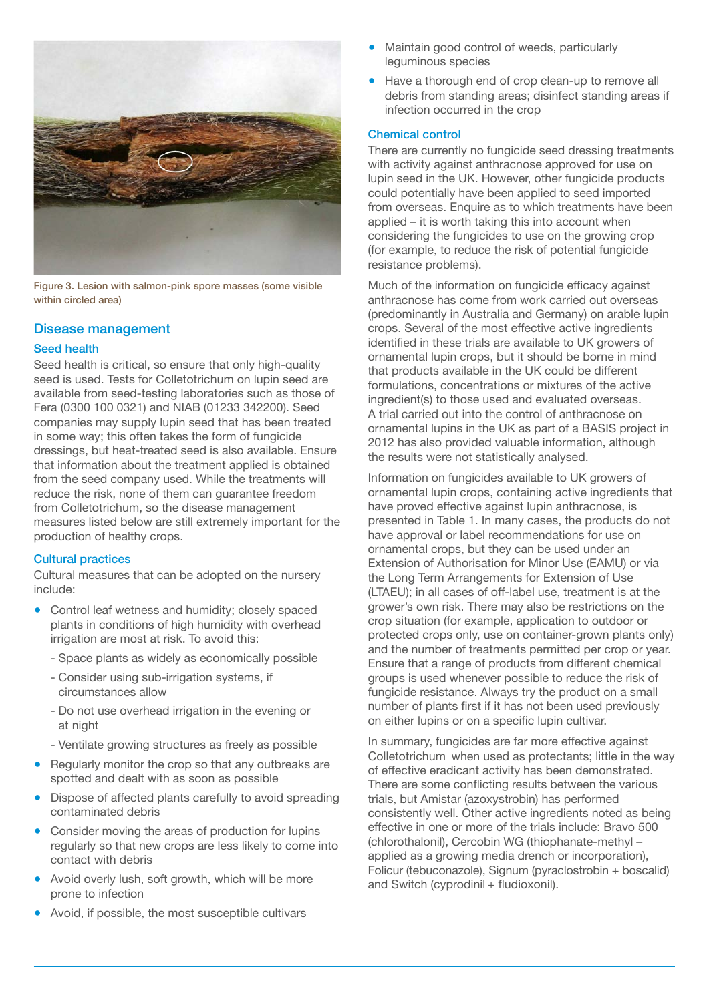

Figure 3. Lesion with salmon-pink spore masses (some visible within circled area)

# Disease management

#### Seed health

Seed health is critical, so ensure that only high-quality seed is used. Tests for Colletotrichum on lupin seed are available from seed-testing laboratories such as those of Fera (0300 100 0321) and NIAB (01233 342200). Seed companies may supply lupin seed that has been treated in some way; this often takes the form of fungicide dressings, but heat-treated seed is also available. Ensure that information about the treatment applied is obtained from the seed company used. While the treatments will reduce the risk, none of them can guarantee freedom from Colletotrichum, so the disease management measures listed below are still extremely important for the production of healthy crops.

## Cultural practices

Cultural measures that can be adopted on the nursery include:

- Control leaf wetness and humidity; closely spaced plants in conditions of high humidity with overhead irrigation are most at risk. To avoid this:
	- Space plants as widely as economically possible
	- Consider using sub-irrigation systems, if circumstances allow
	- Do not use overhead irrigation in the evening or at night
	- Ventilate growing structures as freely as possible
- Regularly monitor the crop so that any outbreaks are spotted and dealt with as soon as possible
- Dispose of affected plants carefully to avoid spreading contaminated debris
- Consider moving the areas of production for lupins regularly so that new crops are less likely to come into contact with debris
- Avoid overly lush, soft growth, which will be more prone to infection
- Avoid, if possible, the most susceptible cultivars
- Maintain good control of weeds, particularly leguminous species
- Have a thorough end of crop clean-up to remove all debris from standing areas; disinfect standing areas if infection occurred in the crop

#### Chemical control

There are currently no fungicide seed dressing treatments with activity against anthracnose approved for use on lupin seed in the UK. However, other fungicide products could potentially have been applied to seed imported from overseas. Enquire as to which treatments have been applied – it is worth taking this into account when considering the fungicides to use on the growing crop (for example, to reduce the risk of potential fungicide resistance problems).

Much of the information on fungicide efficacy against anthracnose has come from work carried out overseas (predominantly in Australia and Germany) on arable lupin crops. Several of the most effective active ingredients identified in these trials are available to UK growers of ornamental lupin crops, but it should be borne in mind that products available in the UK could be different formulations, concentrations or mixtures of the active ingredient(s) to those used and evaluated overseas. A trial carried out into the control of anthracnose on ornamental lupins in the UK as part of a BASIS project in 2012 has also provided valuable information, although the results were not statistically analysed.

Information on fungicides available to UK growers of ornamental lupin crops, containing active ingredients that have proved effective against lupin anthracnose, is presented in Table 1. In many cases, the products do not have approval or label recommendations for use on ornamental crops, but they can be used under an Extension of Authorisation for Minor Use (EAMU) or via the Long Term Arrangements for Extension of Use (LTAEU); in all cases of off-label use, treatment is at the grower's own risk. There may also be restrictions on the crop situation (for example, application to outdoor or protected crops only, use on container-grown plants only) and the number of treatments permitted per crop or year. Ensure that a range of products from different chemical groups is used whenever possible to reduce the risk of fungicide resistance. Always try the product on a small number of plants first if it has not been used previously on either lupins or on a specific lupin cultivar.

In summary, fungicides are far more effective against Colletotrichum when used as protectants; little in the way of effective eradicant activity has been demonstrated. There are some conflicting results between the various trials, but Amistar (azoxystrobin) has performed consistently well. Other active ingredients noted as being effective in one or more of the trials include: Bravo 500 (chlorothalonil), Cercobin WG (thiophanate-methyl – applied as a growing media drench or incorporation), Folicur (tebuconazole), Signum (pyraclostrobin + boscalid) and Switch (cyprodinil + fludioxonil).